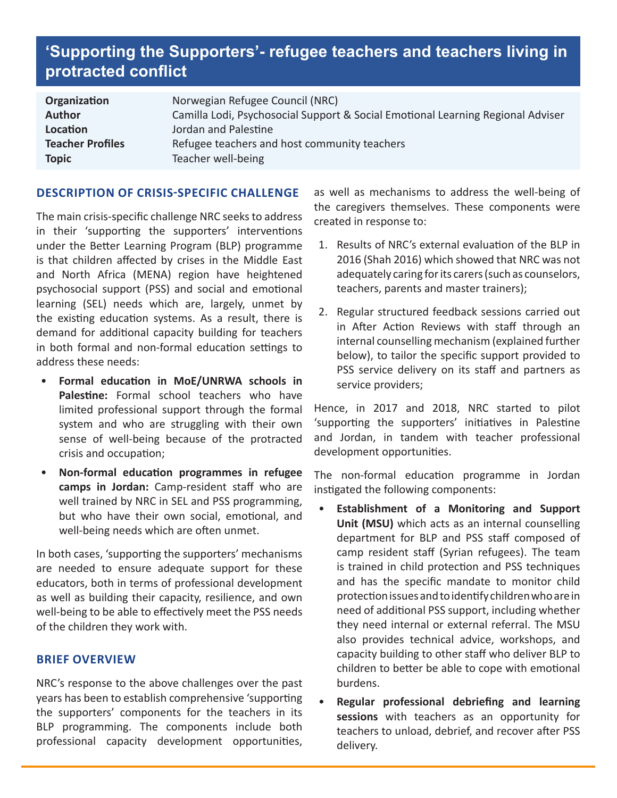# **'Supporting the Supporters'- refugee teachers and teachers living in protracted conflict**

| Organization            | Norwegian Refugee Council (NRC)                                                 |
|-------------------------|---------------------------------------------------------------------------------|
| <b>Author</b>           | Camilla Lodi, Psychosocial Support & Social Emotional Learning Regional Adviser |
| Location                | Jordan and Palestine                                                            |
| <b>Teacher Profiles</b> | Refugee teachers and host community teachers                                    |
| <b>Topic</b>            | Teacher well-being                                                              |

#### **DESCRIPTION OF CRISIS-SPECIFIC CHALLENGE**

The main crisis-specific challenge NRC seeks to address in their 'supporting the supporters' interventions under the Better Learning Program (BLP) programme is that children affected by crises in the Middle East and North Africa (MENA) region have heightened psychosocial support (PSS) and social and emotional learning (SEL) needs which are, largely, unmet by the existing education systems. As a result, there is demand for additional capacity building for teachers in both formal and non-formal education settings to address these needs:

- **Formal education in MoE/UNRWA schools in Palestine:** Formal school teachers who have limited professional support through the formal system and who are struggling with their own sense of well-being because of the protracted crisis and occupation;
- **Non-formal education programmes in refugee camps in Jordan:** Camp-resident staff who are well trained by NRC in SEL and PSS programming, but who have their own social, emotional, and well-being needs which are often unmet.

In both cases, 'supporting the supporters' mechanisms are needed to ensure adequate support for these educators, both in terms of professional development as well as building their capacity, resilience, and own well-being to be able to effectively meet the PSS needs of the children they work with.

#### **BRIEF OVERVIEW**

NRC's response to the above challenges over the past years has been to establish comprehensive 'supporting the supporters' components for the teachers in its BLP programming. The components include both professional capacity development opportunities,

as well as mechanisms to address the well-being of the caregivers themselves. These components were created in response to:

- 1. Results of NRC's external evaluation of the BLP in 2016 (Shah 2016) which showed that NRC was not adequately caring for its carers (such as counselors, teachers, parents and master trainers);
- 2. Regular structured feedback sessions carried out in After Action Reviews with staff through an internal counselling mechanism (explained further below), to tailor the specific support provided to PSS service delivery on its staff and partners as service providers;

Hence, in 2017 and 2018, NRC started to pilot 'supporting the supporters' initiatives in Palestine and Jordan, in tandem with teacher professional development opportunities.

The non-formal education programme in Jordan instigated the following components:

- **Establishment of a Monitoring and Support Unit (MSU)** which acts as an internal counselling department for BLP and PSS staff composed of camp resident staff (Syrian refugees). The team is trained in child protection and PSS techniques and has the specific mandate to monitor child protection issues and to identify children who are in need of additional PSS support, including whether they need internal or external referral. The MSU also provides technical advice, workshops, and capacity building to other staff who deliver BLP to children to better be able to cope with emotional burdens.
- **Regular professional debriefing and learning sessions** with teachers as an opportunity for teachers to unload, debrief, and recover after PSS delivery.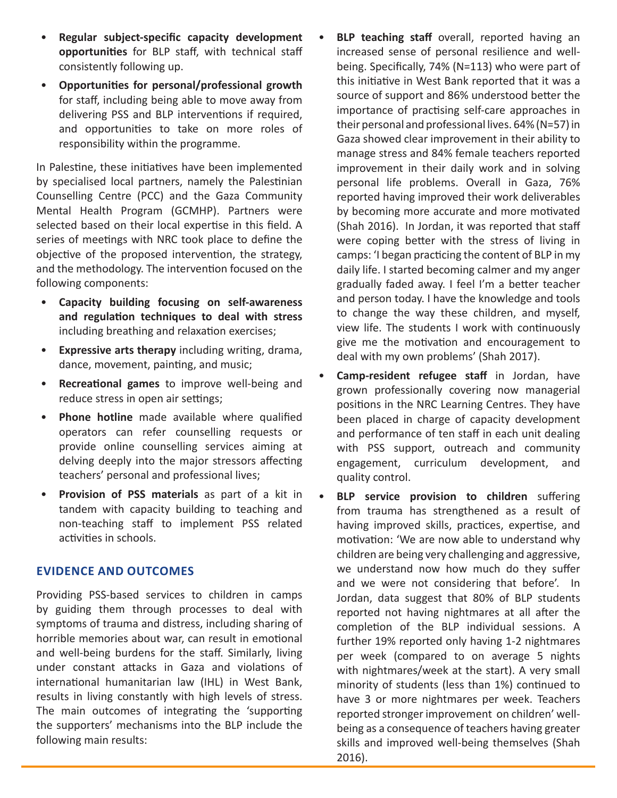- **Regular subject-specific capacity development opportunities** for BLP staff, with technical staff consistently following up.
- **Opportunities for personal/professional growth**  for staff, including being able to move away from delivering PSS and BLP interventions if required, and opportunities to take on more roles of responsibility within the programme.

In Palestine, these initiatives have been implemented by specialised local partners, namely the Palestinian Counselling Centre (PCC) and the Gaza Community Mental Health Program (GCMHP). Partners were selected based on their local expertise in this field. A series of meetings with NRC took place to define the objective of the proposed intervention, the strategy, and the methodology. The intervention focused on the following components:

- **Capacity building focusing on self-awareness and regulation techniques to deal with stress**  including breathing and relaxation exercises;
- **Expressive arts therapy** including writing, drama, dance, movement, painting, and music;
- **Recreational games** to improve well-being and reduce stress in open air settings;
- **Phone hotline** made available where qualified operators can refer counselling requests or provide online counselling services aiming at delving deeply into the major stressors affecting teachers' personal and professional lives;
- **Provision of PSS materials** as part of a kit in tandem with capacity building to teaching and non-teaching staff to implement PSS related activities in schools.

### **EVIDENCE AND OUTCOMES**

Providing PSS-based services to children in camps by guiding them through processes to deal with symptoms of trauma and distress, including sharing of horrible memories about war, can result in emotional and well-being burdens for the staff. Similarly, living under constant attacks in Gaza and violations of international humanitarian law (IHL) in West Bank, results in living constantly with high levels of stress. The main outcomes of integrating the 'supporting the supporters' mechanisms into the BLP include the following main results:

- **BLP teaching staff** overall, reported having an increased sense of personal resilience and wellbeing. Specifically, 74% (N=113) who were part of this initiative in West Bank reported that it was a source of support and 86% understood better the importance of practising self-care approaches in their personal and professional lives. 64% (N=57) in Gaza showed clear improvement in their ability to manage stress and 84% female teachers reported improvement in their daily work and in solving personal life problems. Overall in Gaza, 76% reported having improved their work deliverables by becoming more accurate and more motivated (Shah 2016). In Jordan, it was reported that staff were coping better with the stress of living in camps: 'I began practicing the content of BLP in my daily life. I started becoming calmer and my anger gradually faded away. I feel I'm a better teacher and person today. I have the knowledge and tools to change the way these children, and myself, view life. The students I work with continuously give me the motivation and encouragement to deal with my own problems' (Shah 2017).
- **Camp-resident refugee staff** in Jordan, have grown professionally covering now managerial positions in the NRC Learning Centres. They have been placed in charge of capacity development and performance of ten staff in each unit dealing with PSS support, outreach and community engagement, curriculum development, and quality control.
- **BLP service provision to children** suffering from trauma has strengthened as a result of having improved skills, practices, expertise, and motivation: 'We are now able to understand why children are being very challenging and aggressive, we understand now how much do they suffer and we were not considering that before'. In Jordan, data suggest that 80% of BLP students reported not having nightmares at all after the completion of the BLP individual sessions. A further 19% reported only having 1-2 nightmares per week (compared to on average 5 nights with nightmares/week at the start). A very small minority of students (less than 1%) continued to have 3 or more nightmares per week. Teachers reported stronger improvement on children' wellbeing as a consequence of teachers having greater skills and improved well-being themselves (Shah 2016).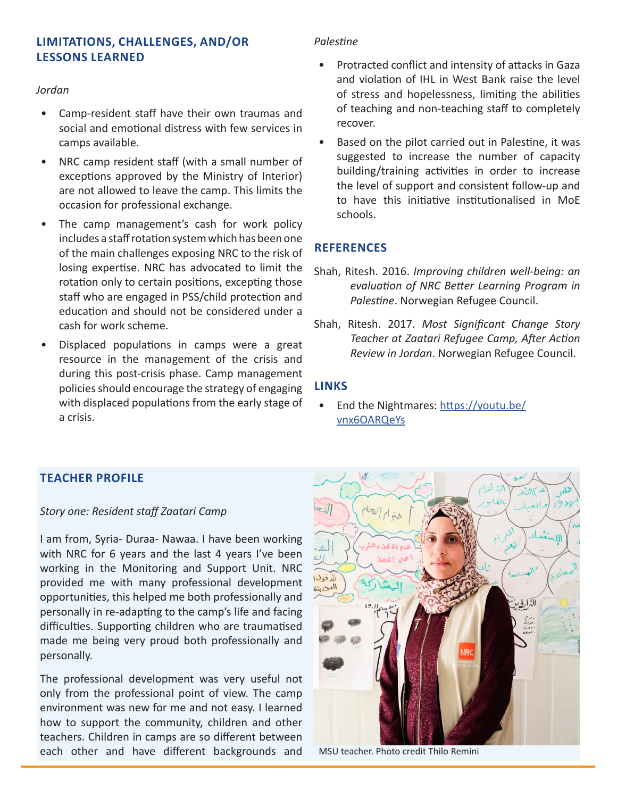## **LIMITATIONS, CHALLENGES, AND/OR LESSONS LEARNED**

#### *Jordan*

- Camp-resident staff have their own traumas and social and emotional distress with few services in camps available.
- NRC camp resident staff (with a small number of exceptions approved by the Ministry of Interior) are not allowed to leave the camp. This limits the occasion for professional exchange.
- The camp management's cash for work policy includes a staff rotation system which has been one of the main challenges exposing NRC to the risk of losing expertise. NRC has advocated to limit the rotation only to certain positions, excepting those staff who are engaged in PSS/child protection and education and should not be considered under a cash for work scheme.
- Displaced populations in camps were a great resource in the management of the crisis and during this post-crisis phase. Camp management policies should encourage the strategy of engaging with displaced populations from the early stage of a crisis.

## *Palestine*

- Protracted conflict and intensity of attacks in Gaza and violation of IHL in West Bank raise the level of stress and hopelessness, limiting the abilities of teaching and non-teaching staff to completely recover.
- Based on the pilot carried out in Palestine, it was suggested to increase the number of capacity building/training activities in order to increase the level of support and consistent follow-up and to have this initiative institutionalised in MoE schools.

# **REFERENCES**

- Shah, Ritesh. 2016. *Improving children well-being: an evaluation of NRC Better Learning Program in Palestine*. Norwegian Refugee Council.
- Shah, Ritesh. 2017. *Most Significant Change Story Teacher at Zaatari Refugee Camp, After Action Review in Jordan*. Norwegian Refugee Council.

## **LINKS**

• End the Nightmares: [https://youtu.be/](https://youtu.be/vnx6OARQeYs) [vnx6OARQeYs](https://youtu.be/vnx6OARQeYs)

# **TEACHER PROFILE**

### *Story one: Resident staff Zaatari Camp*

I am from, Syria- Duraa- Nawaa. I have been working with NRC for 6 years and the last 4 years I've been working in the Monitoring and Support Unit. NRC provided me with many professional development opportunities, this helped me both professionally and personally in re-adapting to the camp's life and facing difficulties. Supporting children who are traumatised made me being very proud both professionally and personally.

The professional development was very useful not only from the professional point of view. The camp environment was new for me and not easy. I learned how to support the community, children and other teachers. Children in camps are so different between each other and have different backgrounds and



MSU teacher. Photo credit Thilo Remini